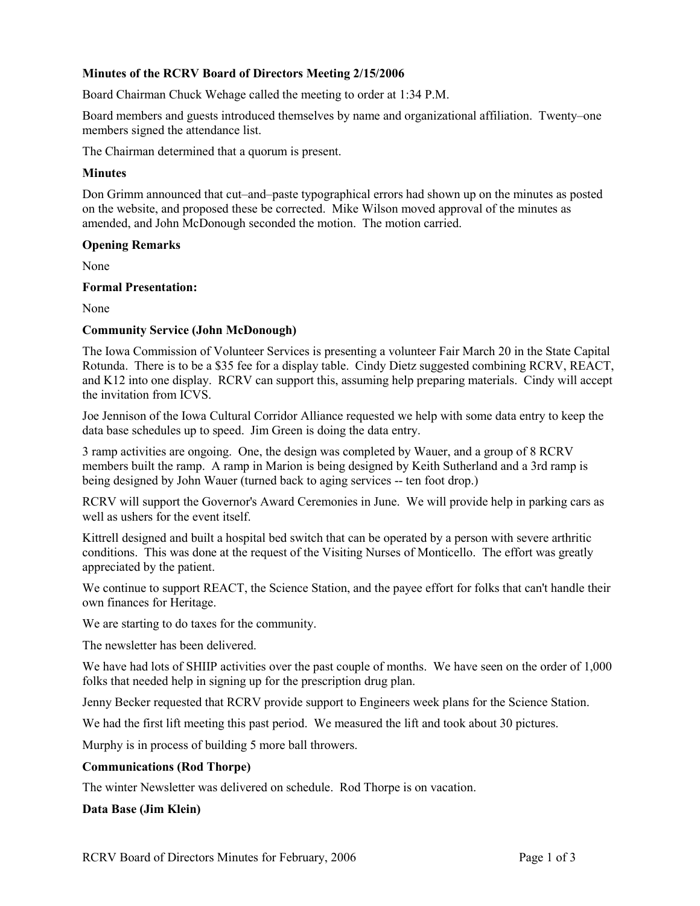## **Minutes of the RCRV Board of Directors Meeting 2/15/2006**

Board Chairman Chuck Wehage called the meeting to order at 1:34 P.M.

Board members and guests introduced themselves by name and organizational affiliation. Twenty–one members signed the attendance list.

The Chairman determined that a quorum is present.

### **Minutes**

Don Grimm announced that cut–and–paste typographical errors had shown up on the minutes as posted on the website, and proposed these be corrected. Mike Wilson moved approval of the minutes as amended, and John McDonough seconded the motion. The motion carried.

#### **Opening Remarks**

None

#### **Formal Presentation:**

None

### **Community Service (John McDonough)**

The Iowa Commission of Volunteer Services is presenting a volunteer Fair March 20 in the State Capital Rotunda. There is to be a \$35 fee for a display table. Cindy Dietz suggested combining RCRV, REACT, and K12 into one display. RCRV can support this, assuming help preparing materials. Cindy will accept the invitation from ICVS.

Joe Jennison of the Iowa Cultural Corridor Alliance requested we help with some data entry to keep the data base schedules up to speed. Jim Green is doing the data entry.

3 ramp activities are ongoing. One, the design was completed by Wauer, and a group of 8 RCRV members built the ramp. A ramp in Marion is being designed by Keith Sutherland and a 3rd ramp is being designed by John Wauer (turned back to aging services -- ten foot drop.)

RCRV will support the Governor's Award Ceremonies in June. We will provide help in parking cars as well as ushers for the event itself.

Kittrell designed and built a hospital bed switch that can be operated by a person with severe arthritic conditions. This was done at the request of the Visiting Nurses of Monticello. The effort was greatly appreciated by the patient.

We continue to support REACT, the Science Station, and the payee effort for folks that can't handle their own finances for Heritage.

We are starting to do taxes for the community.

The newsletter has been delivered.

We have had lots of SHIIP activities over the past couple of months. We have seen on the order of 1,000 folks that needed help in signing up for the prescription drug plan.

Jenny Becker requested that RCRV provide support to Engineers week plans for the Science Station.

We had the first lift meeting this past period. We measured the lift and took about 30 pictures.

Murphy is in process of building 5 more ball throwers.

#### **Communications (Rod Thorpe)**

The winter Newsletter was delivered on schedule. Rod Thorpe is on vacation.

#### **Data Base (Jim Klein)**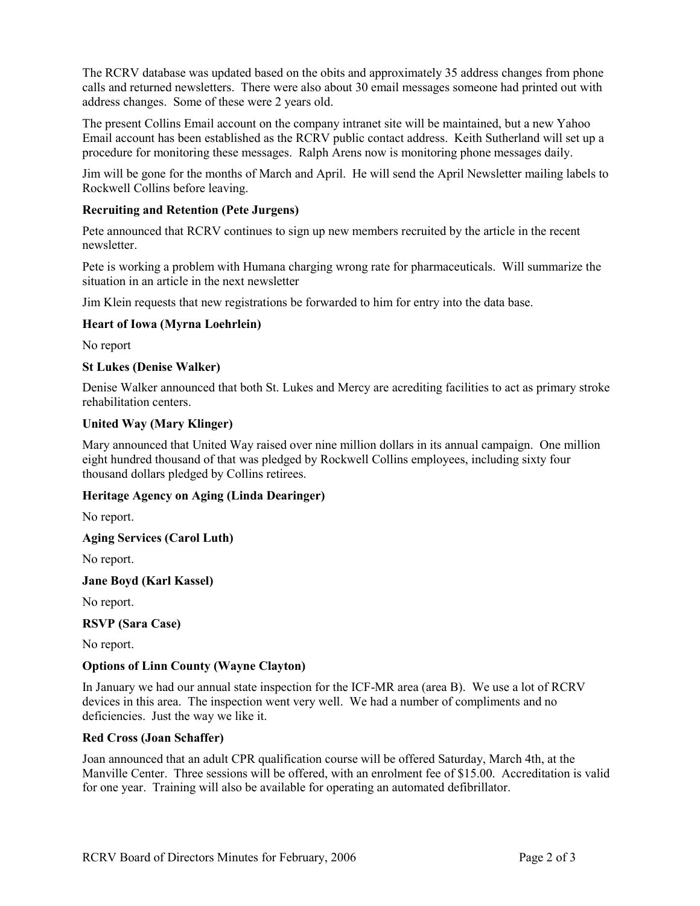The RCRV database was updated based on the obits and approximately 35 address changes from phone calls and returned newsletters. There were also about 30 email messages someone had printed out with address changes. Some of these were 2 years old.

The present Collins Email account on the company intranet site will be maintained, but a new Yahoo Email account has been established as the RCRV public contact address. Keith Sutherland will set up a procedure for monitoring these messages. Ralph Arens now is monitoring phone messages daily.

Jim will be gone for the months of March and April. He will send the April Newsletter mailing labels to Rockwell Collins before leaving.

### **Recruiting and Retention (Pete Jurgens)**

Pete announced that RCRV continues to sign up new members recruited by the article in the recent newsletter.

Pete is working a problem with Humana charging wrong rate for pharmaceuticals. Will summarize the situation in an article in the next newsletter

Jim Klein requests that new registrations be forwarded to him for entry into the data base.

# **Heart of Iowa (Myrna Loehrlein)**

No report

## **St Lukes (Denise Walker)**

Denise Walker announced that both St. Lukes and Mercy are acrediting facilities to act as primary stroke rehabilitation centers.

### **United Way (Mary Klinger)**

Mary announced that United Way raised over nine million dollars in its annual campaign. One million eight hundred thousand of that was pledged by Rockwell Collins employees, including sixty four thousand dollars pledged by Collins retirees.

### **Heritage Agency on Aging (Linda Dearinger)**

No report.

**Aging Services (Carol Luth)** 

No report.

**Jane Boyd (Karl Kassel)** 

No report.

**RSVP (Sara Case)** 

No report.

# **Options of Linn County (Wayne Clayton)**

In January we had our annual state inspection for the ICF-MR area (area B). We use a lot of RCRV devices in this area. The inspection went very well. We had a number of compliments and no deficiencies. Just the way we like it.

### **Red Cross (Joan Schaffer)**

Joan announced that an adult CPR qualification course will be offered Saturday, March 4th, at the Manville Center. Three sessions will be offered, with an enrolment fee of \$15.00. Accreditation is valid for one year. Training will also be available for operating an automated defibrillator.